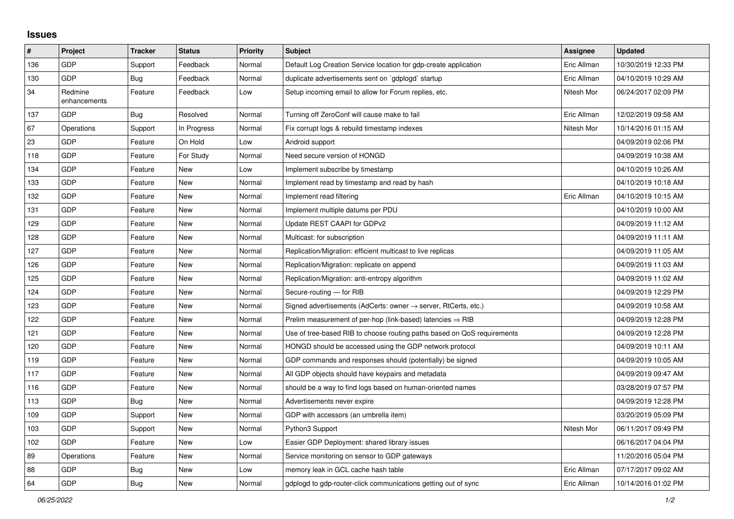## **Issues**

| #   | <b>Project</b>          | <b>Tracker</b> | <b>Status</b> | <b>Priority</b> | <b>Subject</b>                                                          | Assignee    | <b>Updated</b>      |
|-----|-------------------------|----------------|---------------|-----------------|-------------------------------------------------------------------------|-------------|---------------------|
| 136 | GDP                     | Support        | Feedback      | Normal          | Default Log Creation Service location for gdp-create application        | Eric Allman | 10/30/2019 12:33 PM |
| 130 | GDP                     | <b>Bug</b>     | Feedback      | Normal          | duplicate advertisements sent on `gdplogd` startup                      | Eric Allman | 04/10/2019 10:29 AM |
| 34  | Redmine<br>enhancements | Feature        | Feedback      | Low             | Setup incoming email to allow for Forum replies, etc.                   | Nitesh Mor  | 06/24/2017 02:09 PM |
| 137 | GDP                     | Bug            | Resolved      | Normal          | Turning off ZeroConf will cause make to fail                            | Eric Allman | 12/02/2019 09:58 AM |
| 67  | Operations              | Support        | In Progress   | Normal          | Fix corrupt logs & rebuild timestamp indexes                            | Nitesh Mor  | 10/14/2016 01:15 AM |
| 23  | GDP                     | Feature        | On Hold       | Low             | Android support                                                         |             | 04/09/2019 02:06 PM |
| 118 | GDP                     | Feature        | For Study     | Normal          | Need secure version of HONGD                                            |             | 04/09/2019 10:38 AM |
| 134 | GDP                     | Feature        | New           | Low             | Implement subscribe by timestamp                                        |             | 04/10/2019 10:26 AM |
| 133 | GDP                     | Feature        | New           | Normal          | Implement read by timestamp and read by hash                            |             | 04/10/2019 10:18 AM |
| 132 | GDP                     | Feature        | <b>New</b>    | Normal          | Implement read filtering                                                | Eric Allman | 04/10/2019 10:15 AM |
| 131 | GDP                     | Feature        | New           | Normal          | Implement multiple datums per PDU                                       |             | 04/10/2019 10:00 AM |
| 129 | GDP                     | Feature        | New           | Normal          | Update REST CAAPI for GDPv2                                             |             | 04/09/2019 11:12 AM |
| 128 | GDP                     | Feature        | New           | Normal          | Multicast: for subscription                                             |             | 04/09/2019 11:11 AM |
| 127 | GDP                     | Feature        | New           | Normal          | Replication/Migration: efficient multicast to live replicas             |             | 04/09/2019 11:05 AM |
| 126 | GDP                     | Feature        | New           | Normal          | Replication/Migration: replicate on append                              |             | 04/09/2019 11:03 AM |
| 125 | GDP                     | Feature        | <b>New</b>    | Normal          | Replication/Migration: anti-entropy algorithm                           |             | 04/09/2019 11:02 AM |
| 124 | GDP                     | Feature        | <b>New</b>    | Normal          | Secure-routing - for RIB                                                |             | 04/09/2019 12:29 PM |
| 123 | GDP                     | Feature        | <b>New</b>    | Normal          | Signed advertisements (AdCerts: owner → server, RtCerts, etc.)          |             | 04/09/2019 10:58 AM |
| 122 | GDP                     | Feature        | <b>New</b>    | Normal          | Prelim measurement of per-hop (link-based) latencies $\Rightarrow$ RIB  |             | 04/09/2019 12:28 PM |
| 121 | GDP                     | Feature        | <b>New</b>    | Normal          | Use of tree-based RIB to choose routing paths based on QoS requirements |             | 04/09/2019 12:28 PM |
| 120 | GDP                     | Feature        | New           | Normal          | HONGD should be accessed using the GDP network protocol                 |             | 04/09/2019 10:11 AM |
| 119 | GDP                     | Feature        | New           | Normal          | GDP commands and responses should (potentially) be signed               |             | 04/09/2019 10:05 AM |
| 117 | GDP                     | Feature        | New           | Normal          | All GDP objects should have keypairs and metadata                       |             | 04/09/2019 09:47 AM |
| 116 | GDP                     | Feature        | <b>New</b>    | Normal          | should be a way to find logs based on human-oriented names              |             | 03/28/2019 07:57 PM |
| 113 | GDP                     | Bug            | New           | Normal          | Advertisements never expire                                             |             | 04/09/2019 12:28 PM |
| 109 | GDP                     | Support        | New           | Normal          | GDP with accessors (an umbrella item)                                   |             | 03/20/2019 05:09 PM |
| 103 | GDP                     | Support        | New           | Normal          | Python3 Support                                                         | Nitesh Mor  | 06/11/2017 09:49 PM |
| 102 | GDP                     | Feature        | New           | Low             | Easier GDP Deployment: shared library issues                            |             | 06/16/2017 04:04 PM |
| 89  | Operations              | Feature        | New           | Normal          | Service monitoring on sensor to GDP gateways                            |             | 11/20/2016 05:04 PM |
| 88  | GDP                     | Bug            | New           | Low             | memory leak in GCL cache hash table                                     | Eric Allman | 07/17/2017 09:02 AM |
| 64  | GDP                     | Bug            | New           | Normal          | gdplogd to gdp-router-click communications getting out of sync          | Eric Allman | 10/14/2016 01:02 PM |